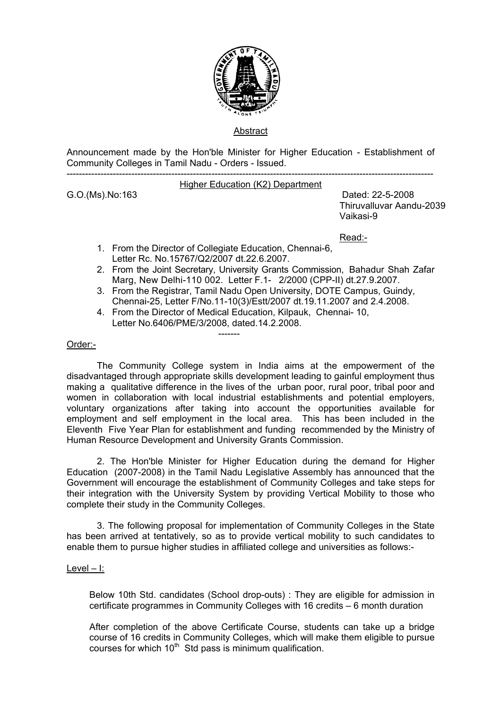

# Abstract

Announcement made by the Hon'ble Minister for Higher Education - Establishment of Community Colleges in Tamil Nadu - Orders - Issued.

-----------------------------------------------------------------------------------------------------------------------

### Higher Education (K2) Department

G.O.(Ms).No:163 Dated: 22-5-2008 Thiruvalluvar Aandu-2039 Vaikasi-9

Read:-

1. From the Director of Collegiate Education, Chennai-6, Letter Rc. No.15767/Q2/2007 dt.22.6.2007.

-------

- 2. From the Joint Secretary, University Grants Commission, Bahadur Shah Zafar Marg, New Delhi-110 002. Letter F.1- 2/2000 (CPP-II) dt.27.9.2007.
- 3. From the Registrar, Tamil Nadu Open University, DOTE Campus, Guindy, Chennai-25, Letter F/No.11-10(3)/Estt/2007 dt.19.11.2007 and 2.4.2008.
- 4. From the Director of Medical Education, Kilpauk, Chennai- 10, Letter No.6406/PME/3/2008, dated.14.2.2008.

### Order:-

The Community College system in India aims at the empowerment of the disadvantaged through appropriate skills development leading to gainful employment thus making a qualitative difference in the lives of the urban poor, rural poor, tribal poor and women in collaboration with local industrial establishments and potential employers, voluntary organizations after taking into account the opportunities available for employment and self employment in the local area. This has been included in the Eleventh Five Year Plan for establishment and funding recommended by the Ministry of Human Resource Development and University Grants Commission.

 2. The Hon'ble Minister for Higher Education during the demand for Higher Education (2007-2008) in the Tamil Nadu Legislative Assembly has announced that the Government will encourage the establishment of Community Colleges and take steps for their integration with the University System by providing Vertical Mobility to those who complete their study in the Community Colleges.

3. The following proposal for implementation of Community Colleges in the State has been arrived at tentatively, so as to provide vertical mobility to such candidates to enable them to pursue higher studies in affiliated college and universities as follows:-

### Level – I:

Below 10th Std. candidates (School drop-outs) : They are eligible for admission in certificate programmes in Community Colleges with 16 credits – 6 month duration

After completion of the above Certificate Course, students can take up a bridge course of 16 credits in Community Colleges, which will make them eligible to pursue courses for which  $10<sup>th</sup>$  Std pass is minimum qualification.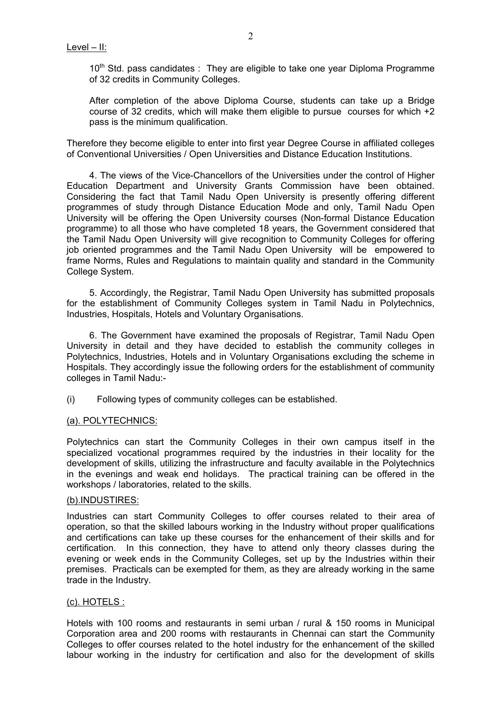10<sup>th</sup> Std. pass candidates : They are eligible to take one year Diploma Programme of 32 credits in Community Colleges.

After completion of the above Diploma Course, students can take up a Bridge course of 32 credits, which will make them eligible to pursue courses for which +2 pass is the minimum qualification.

Therefore they become eligible to enter into first year Degree Course in affiliated colleges of Conventional Universities / Open Universities and Distance Education Institutions.

4. The views of the Vice-Chancellors of the Universities under the control of Higher Education Department and University Grants Commission have been obtained. Considering the fact that Tamil Nadu Open University is presently offering different programmes of study through Distance Education Mode and only, Tamil Nadu Open University will be offering the Open University courses (Non-formal Distance Education programme) to all those who have completed 18 years, the Government considered that the Tamil Nadu Open University will give recognition to Community Colleges for offering job oriented programmes and the Tamil Nadu Open University will be empowered to frame Norms, Rules and Regulations to maintain quality and standard in the Community College System.

5. Accordingly, the Registrar, Tamil Nadu Open University has submitted proposals for the establishment of Community Colleges system in Tamil Nadu in Polytechnics, Industries, Hospitals, Hotels and Voluntary Organisations.

6. The Government have examined the proposals of Registrar, Tamil Nadu Open University in detail and they have decided to establish the community colleges in Polytechnics, Industries, Hotels and in Voluntary Organisations excluding the scheme in Hospitals. They accordingly issue the following orders for the establishment of community colleges in Tamil Nadu:-

(i) Following types of community colleges can be established.

# (a). POLYTECHNICS:

Polytechnics can start the Community Colleges in their own campus itself in the specialized vocational programmes required by the industries in their locality for the development of skills, utilizing the infrastructure and faculty available in the Polytechnics in the evenings and weak end holidays. The practical training can be offered in the workshops / laboratories, related to the skills.

### (b).INDUSTIRES:

Industries can start Community Colleges to offer courses related to their area of operation, so that the skilled labours working in the Industry without proper qualifications and certifications can take up these courses for the enhancement of their skills and for certification. In this connection, they have to attend only theory classes during the evening or week ends in the Community Colleges, set up by the Industries within their premises. Practicals can be exempted for them, as they are already working in the same trade in the Industry.

### (c). HOTELS :

Hotels with 100 rooms and restaurants in semi urban / rural & 150 rooms in Municipal Corporation area and 200 rooms with restaurants in Chennai can start the Community Colleges to offer courses related to the hotel industry for the enhancement of the skilled labour working in the industry for certification and also for the development of skills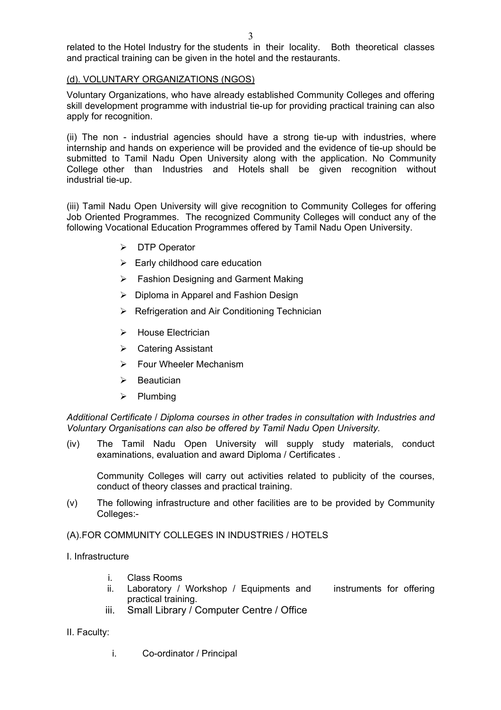related to the Hotel Industry for the students in their locality. Both theoretical classes and practical training can be given in the hotel and the restaurants.

# (d). VOLUNTARY ORGANIZATIONS (NGOS)

Voluntary Organizations, who have already established Community Colleges and offering skill development programme with industrial tie-up for providing practical training can also apply for recognition.

(ii) The non - industrial agencies should have a strong tie-up with industries, where internship and hands on experience will be provided and the evidence of tie-up should be submitted to Tamil Nadu Open University along with the application. No Community College other than Industries and Hotels shall be given recognition without industrial tie-up.

(iii) Tamil Nadu Open University will give recognition to Community Colleges for offering Job Oriented Programmes. The recognized Community Colleges will conduct any of the following Vocational Education Programmes offered by Tamil Nadu Open University.

- ¾ DTP Operator
- $\triangleright$  Early childhood care education
- $\triangleright$  Fashion Designing and Garment Making
- ¾ Diploma in Apparel and Fashion Design
- $\triangleright$  Refrigeration and Air Conditioning Technician
- ¾ House Electrician
- ¾ Catering Assistant
- $\triangleright$  Four Wheeler Mechanism
- $\triangleright$  Beautician
- $\triangleright$  Plumbing

*Additional Certificate* / *Diploma courses in other trades in consultation with Industries and Voluntary Organisations can also be offered by Tamil Nadu Open University.* 

(iv) The Tamil Nadu Open University will supply study materials, conduct examinations, evaluation and award Diploma / Certificates .

Community Colleges will carry out activities related to publicity of the courses, conduct of theory classes and practical training.

(v) The following infrastructure and other facilities are to be provided by Community Colleges:-

# (A). FOR COMMUNITY COLLEGES IN INDUSTRIES / HOTELS

- I. Infrastructure
	- i. Class Rooms
	- ii. Laboratory / Workshop / Equipments and instruments for offering practical training.
	- iii. Small Library / Computer Centre / Office
- II. Faculty:
	- i. Co-ordinator / Principal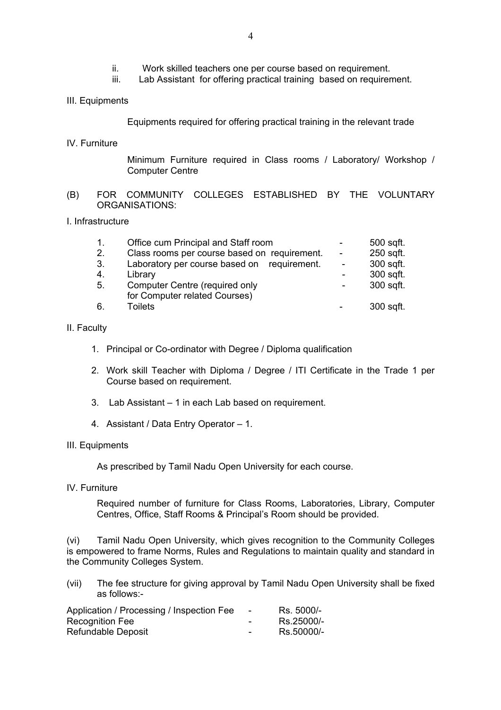- ii. Work skilled teachers one per course based on requirement.
- iii. Lab Assistant for offering practical training based on requirement.
- III. Equipments

Equipments required for offering practical training in the relevant trade

IV. Furniture

Minimum Furniture required in Class rooms / Laboratory/ Workshop / Computer Centre

(B) FOR COMMUNITY COLLEGES ESTABLISHED BY THE VOLUNTARY ORGANISATIONS:

### I. Infrastructure

| 1. | Office cum Principal and Staff room          | 500 sqft. |
|----|----------------------------------------------|-----------|
| 2. | Class rooms per course based on requirement. | 250 sqft. |
| 3. | Laboratory per course based on requirement.  | 300 sqft. |
| 4. | Library                                      | 300 sqft. |
| 5. | Computer Centre (required only               | 300 sqft. |
|    | for Computer related Courses)                |           |
| 6. | <b>Toilets</b>                               | 300 sqft. |

### II. Faculty

- 1. Principal or Co-ordinator with Degree / Diploma qualification
- 2. Work skill Teacher with Diploma / Degree / ITI Certificate in the Trade 1 per Course based on requirement.
- 3. Lab Assistant 1 in each Lab based on requirement.
- 4. Assistant / Data Entry Operator 1.

#### III. Equipments

As prescribed by Tamil Nadu Open University for each course.

IV. Furniture

Required number of furniture for Class Rooms, Laboratories, Library, Computer Centres, Office, Staff Rooms & Principal's Room should be provided.

(vi) Tamil Nadu Open University, which gives recognition to the Community Colleges is empowered to frame Norms, Rules and Regulations to maintain quality and standard in the Community Colleges System.

(vii) The fee structure for giving approval by Tamil Nadu Open University shall be fixed as follows:-

| Application / Processing / Inspection Fee | $\sim$                   | Rs. 5000/- |
|-------------------------------------------|--------------------------|------------|
| <b>Recognition Fee</b>                    | $\overline{\phantom{0}}$ | Rs.25000/- |
| Refundable Deposit                        | $\overline{\phantom{0}}$ | Rs.50000/- |